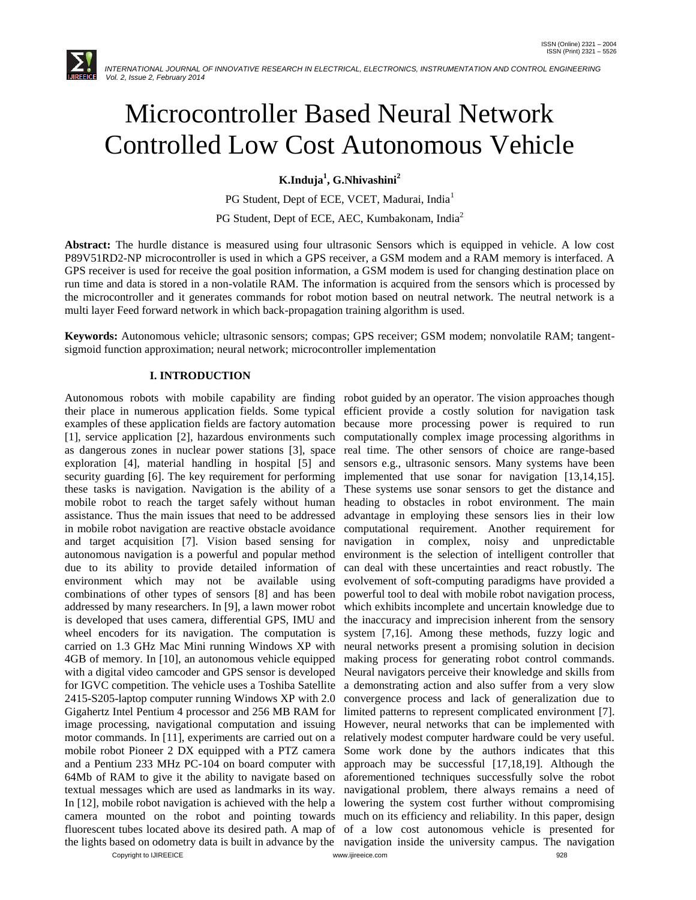

# Microcontroller Based Neural Network Controlled Low Cost Autonomous Vehicle

**K.Induja<sup>1</sup> , G.Nhivashini<sup>2</sup>**

PG Student, Dept of ECE, VCET, Madurai, India<sup>1</sup>

PG Student, Dept of ECE, AEC, Kumbakonam, India<sup>2</sup>

**Abstract:** The hurdle distance is measured using four ultrasonic Sensors which is equipped in vehicle. A low cost P89V51RD2-NP microcontroller is used in which a GPS receiver, a GSM modem and a RAM memory is interfaced. A GPS receiver is used for receive the goal position information, a GSM modem is used for changing destination place on run time and data is stored in a non-volatile RAM. The information is acquired from the sensors which is processed by the microcontroller and it generates commands for robot motion based on neutral network. The neutral network is a multi layer Feed forward network in which back-propagation training algorithm is used.

**Keywords:** Autonomous vehicle; ultrasonic sensors; compas; GPS receiver; GSM modem; nonvolatile RAM; tangentsigmoid function approximation; neural network; microcontroller implementation

#### **I. INTRODUCTION**

Copyright to IJIREEICE [www.ijireeice.com](http://www.ijireeice.com/) 928 Autonomous robots with mobile capability are finding robot guided by an operator. The vision approaches though their place in numerous application fields. Some typical examples of these application fields are factory automation [1], service application [2], hazardous environments such as dangerous zones in nuclear power stations [3], space exploration [4], material handling in hospital [5] and security guarding [6]. The key requirement for performing these tasks is navigation. Navigation is the ability of a mobile robot to reach the target safely without human assistance. Thus the main issues that need to be addressed in mobile robot navigation are reactive obstacle avoidance and target acquisition [7]. Vision based sensing for autonomous navigation is a powerful and popular method due to its ability to provide detailed information of environment which may not be available using combinations of other types of sensors [8] and has been addressed by many researchers. In [9], a lawn mower robot is developed that uses camera, differential GPS, IMU and wheel encoders for its navigation. The computation is carried on 1.3 GHz Mac Mini running Windows XP with 4GB of memory. In [10], an autonomous vehicle equipped with a digital video camcoder and GPS sensor is developed for IGVC competition. The vehicle uses a Toshiba Satellite 2415-S205-laptop computer running Windows XP with 2.0 Gigahertz Intel Pentium 4 processor and 256 MB RAM for image processing, navigational computation and issuing motor commands. In [11], experiments are carried out on a mobile robot Pioneer 2 DX equipped with a PTZ camera and a Pentium 233 MHz PC-104 on board computer with 64Mb of RAM to give it the ability to navigate based on textual messages which are used as landmarks in its way. navigational problem, there always remains a need of In [12], mobile robot navigation is achieved with the help a lowering the system cost further without compromising camera mounted on the robot and pointing towards much on its efficiency and reliability. In this paper, design fluorescent tubes located above its desired path. A map of of a low cost autonomous vehicle is presented for the lights based on odometry data is built in advance by the navigation inside the university campus. The navigation

efficient provide a costly solution for navigation task because more processing power is required to run computationally complex image processing algorithms in real time. The other sensors of choice are range-based sensors e.g., ultrasonic sensors. Many systems have been implemented that use sonar for navigation [13,14,15]. These systems use sonar sensors to get the distance and heading to obstacles in robot environment. The main advantage in employing these sensors lies in their low computational requirement. Another requirement for navigation in complex, noisy and unpredictable environment is the selection of intelligent controller that can deal with these uncertainties and react robustly. The evolvement of soft-computing paradigms have provided a powerful tool to deal with mobile robot navigation process, which exhibits incomplete and uncertain knowledge due to the inaccuracy and imprecision inherent from the sensory system [7,16]. Among these methods, fuzzy logic and neural networks present a promising solution in decision making process for generating robot control commands. Neural navigators perceive their knowledge and skills from a demonstrating action and also suffer from a very slow convergence process and lack of generalization due to limited patterns to represent complicated environment [7]. However, neural networks that can be implemented with relatively modest computer hardware could be very useful. Some work done by the authors indicates that this approach may be successful [17,18,19]. Although the aforementioned techniques successfully solve the robot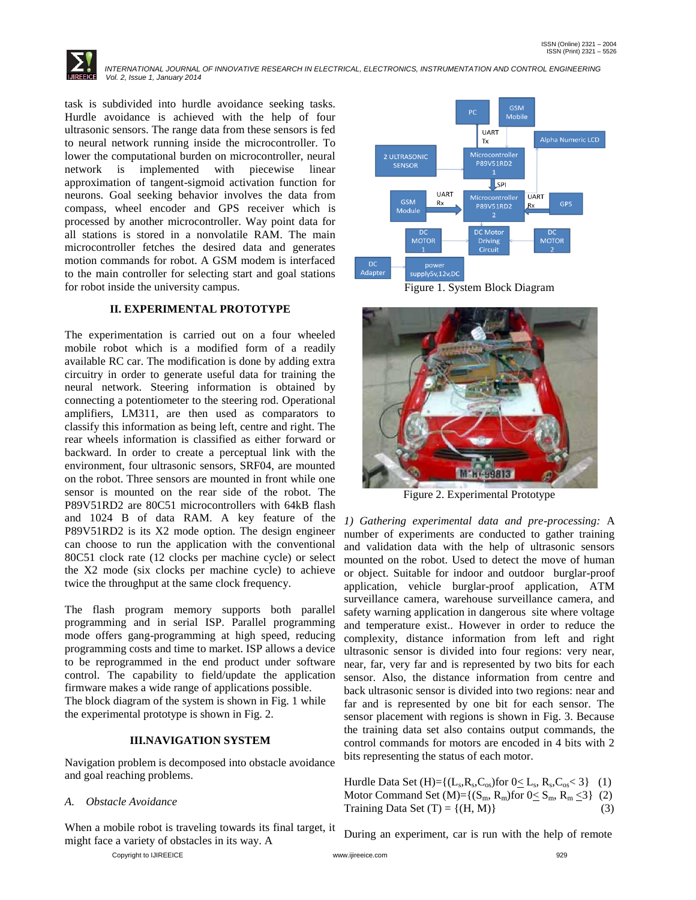

task is subdivided into hurdle avoidance seeking tasks. Hurdle avoidance is achieved with the help of four ultrasonic sensors. The range data from these sensors is fed to neural network running inside the microcontroller. To lower the computational burden on microcontroller, neural network is implemented with piecewise linear approximation of tangent-sigmoid activation function for neurons. Goal seeking behavior involves the data from compass, wheel encoder and GPS receiver which is processed by another microcontroller. Way point data for all stations is stored in a nonvolatile RAM. The main microcontroller fetches the desired data and generates motion commands for robot. A GSM modem is interfaced to the main controller for selecting start and goal stations for robot inside the university campus.

# **II. EXPERIMENTAL PROTOTYPE**

The experimentation is carried out on a four wheeled mobile robot which is a modified form of a readily available RC car. The modification is done by adding extra circuitry in order to generate useful data for training the neural network. Steering information is obtained by connecting a potentiometer to the steering rod. Operational amplifiers, LM311, are then used as comparators to classify this information as being left, centre and right. The rear wheels information is classified as either forward or backward. In order to create a perceptual link with the environment, four ultrasonic sensors, SRF04, are mounted on the robot. Three sensors are mounted in front while one sensor is mounted on the rear side of the robot. The P89V51RD2 are 80C51 microcontrollers with 64kB flash and 1024 B of data RAM. A key feature of the P89V51RD2 is its X2 mode option. The design engineer can choose to run the application with the conventional 80C51 clock rate (12 clocks per machine cycle) or select the X2 mode (six clocks per machine cycle) to achieve twice the throughput at the same clock frequency.

The flash program memory supports both parallel programming and in serial ISP. Parallel programming mode offers gang-programming at high speed, reducing programming costs and time to market. ISP allows a device to be reprogrammed in the end product under software control. The capability to field/update the application firmware makes a wide range of applications possible. The block diagram of the system is shown in Fig. 1 while the experimental prototype is shown in Fig. 2.

#### **III.NAVIGATION SYSTEM**

Navigation problem is decomposed into obstacle avoidance and goal reaching problems.

#### *A. Obstacle Avoidance*

When a mobile robot is traveling towards its final target, it might face a variety of obstacles in its way. A

**GSM** Mobile **UART** Alpha Numeric LCD Tx Microcontroller 2 ULTRASONIC SENSOR P89V51RD2  $\overline{\mathsf{Lsp}}$ **IJART** Microcontroller **UART** GSM Rx GPS Rx Module **DC** Motor **MOTOR MOTOR** Driving Circuit **DC** power Adapter supply5v,12v,DC





Figure 2. Experimental Prototype

*1) Gathering experimental data and pre-processing:* A number of experiments are conducted to gather training and validation data with the help of ultrasonic sensors mounted on the robot. Used to detect the move of human or object. Suitable for indoor and outdoor burglar-proof application, vehicle burglar-proof application, ATM surveillance camera, warehouse surveillance camera, and safety warning application in dangerous site where voltage and temperature exist.. However in order to reduce the complexity, distance information from left and right ultrasonic sensor is divided into four regions: very near, near, far, very far and is represented by two bits for each sensor. Also, the distance information from centre and back ultrasonic sensor is divided into two regions: near and far and is represented by one bit for each sensor. The sensor placement with regions is shown in Fig. 3. Because the training data set also contains output commands, the control commands for motors are encoded in 4 bits with 2 bits representing the status of each motor.

Hurdle Data Set  $(H)= \{(L_s, R_s, C_{os})$ for  $0 \le L_s$ ,  $R_s, C_{os} < 3\}$  (1) Motor Command Set  $(M)=\{(S_m, R_m)$ for  $0 \le S_m, R_m \le 3\}$  (2) Training Data Set  $(T) = \{(H, M)\}\$  (3)

During an experiment, car is run with the help of remote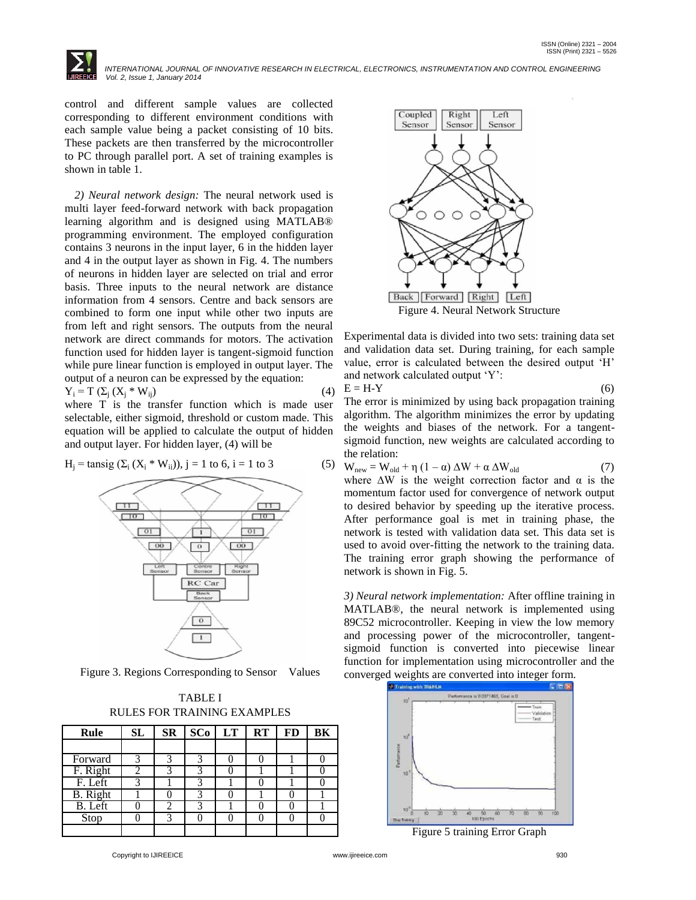

control and different sample values are collected corresponding to different environment conditions with each sample value being a packet consisting of 10 bits. These packets are then transferred by the microcontroller to PC through parallel port. A set of training examples is shown in table 1.

*2) Neural network design:* The neural network used is multi layer feed-forward network with back propagation learning algorithm and is designed using MATLAB® programming environment. The employed configuration contains 3 neurons in the input layer, 6 in the hidden layer and 4 in the output layer as shown in Fig. 4. The numbers of neurons in hidden layer are selected on trial and error basis. Three inputs to the neural network are distance information from 4 sensors. Centre and back sensors are combined to form one input while other two inputs are from left and right sensors. The outputs from the neural network are direct commands for motors. The activation function used for hidden layer is tangent-sigmoid function while pure linear function is employed in output layer. The output of a neuron can be expressed by the equation:  $Y_i = T \left( \sum_i (X_i * W_{ij}) \right)$  (4)

where T is the transfer function which is made user selectable, either sigmoid, threshold or custom made. This equation will be applied to calculate the output of hidden and output layer. For hidden layer, (4) will be





Figure 3. Regions Corresponding to Sensor Values

| TABLE I                     |
|-----------------------------|
| RULES FOR TRAINING EXAMPLES |

| Rule            | SL | SR | $SC_0$ $LT$ $RT$ |  | $\bf FD$ | BK |
|-----------------|----|----|------------------|--|----------|----|
|                 |    |    |                  |  |          |    |
| Forward         |    |    |                  |  |          |    |
| F. Right        |    |    |                  |  |          |    |
| F. Left         |    |    |                  |  |          |    |
| <b>B.</b> Right |    |    |                  |  |          |    |
| $B.$ Left       |    |    |                  |  |          |    |
| Stop            |    |    |                  |  |          |    |
|                 |    |    |                  |  |          |    |



Experimental data is divided into two sets: training data set and validation data set. During training, for each sample value, error is calculated between the desired output "H" and network calculated output "Y":

 $E = H - Y$  (6)

The error is minimized by using back propagation training algorithm. The algorithm minimizes the error by updating the weights and biases of the network. For a tangentsigmoid function, new weights are calculated according to the relation:

| $W_{new} = W_{old} + \eta (1 - \alpha) \Delta W + \alpha \Delta W_{old}$ |
|--------------------------------------------------------------------------|
| where $\Delta W$ is the weight correction factor and $\alpha$ is the     |
| momentum factor used for convergence of network output                   |
| to desired behavior by speeding up the iterative process.                |
| After performance goal is met in training phase, the                     |
| network is tested with validation data set. This data set is             |
| used to avoid over-fitting the network to the training data.             |
| The training error graph showing the performance of                      |
| network is shown in Fig. 5.                                              |

*3) Neural network implementation:* After offline training in MATLAB®, the neural network is implemented using 89C52 microcontroller. Keeping in view the low memory and processing power of the microcontroller, tangentsigmoid function is converted into piecewise linear function for implementation using microcontroller and the converged weights are converted into integer form.



Figure 5 training Error Graph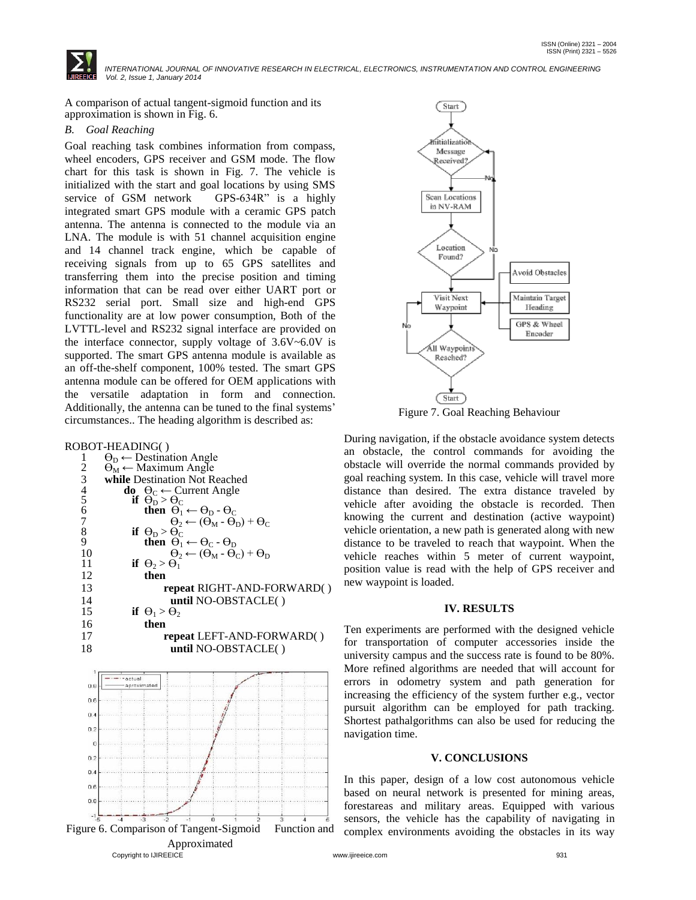

A comparison of actual tangent-sigmoid function and its approximation is shown in Fig. 6.

## *B. Goal Reaching*

Goal reaching task combines information from compass, wheel encoders, GPS receiver and GSM mode. The flow chart for this task is shown in Fig. 7. The vehicle is initialized with the start and goal locations by using SMS service of GSM network GPS-634R" is a highly integrated smart GPS module with a ceramic GPS patch antenna. The antenna is connected to the module via an LNA. The module is with 51 channel acquisition engine and 14 channel track engine, which be capable of receiving signals from up to 65 GPS satellites and transferring them into the precise position and timing information that can be read over either UART port or RS232 serial port. Small size and high-end GPS functionality are at low power consumption, Both of the LVTTL-level and RS232 signal interface are provided on the interface connector, supply voltage of 3.6V~6.0V is supported. The smart GPS antenna module is available as an off-the-shelf component, 100% tested. The smart GPS antenna module can be offered for OEM applications with the versatile adaptation in form and connection. Additionally, the antenna can be tuned to the final systems' circumstances.. The heading algorithm is described as:

ROBOT-HEADING( )

|                | $\circ$ b $\circ$ is the ibit $\circ$ ( )              |
|----------------|--------------------------------------------------------|
| 1              | $\Theta_{D}$ ightharpoonless Angle                     |
| $\overline{c}$ | $\Theta_{\rm M}$ Maximum Angle                         |
| 3456789        | while Destination Not Reached                          |
|                | <b>do</b> $\Theta_C \leftarrow$ Current Angle          |
|                | if $\theta_{\rm D} > \theta_{\rm C}$                   |
|                | then $\Theta_1 \leftarrow \Theta_{D} \cdot \Theta_{C}$ |
|                | $\Theta_2 \leftarrow (\Theta_M - \Theta_D) + \Theta_C$ |
|                | if $\theta_{\rm D} > \theta_{\rm C}$                   |
|                | then $\Theta_1 \leftarrow \Theta_C \cdot \Theta_D$     |
| 10             | $\Theta_2 \leftarrow (\Theta_M - \Theta_C) + \Theta_D$ |
| 11             | if $\theta_2 > \theta_1$                               |
| 12             | then                                                   |
| 13             | repeat RIGHT-AND-FORWARD()                             |
| 14             | until NO-OBSTACLE()                                    |
| 15             | if $\Theta_1 > \Theta_2$                               |
| 16             | then                                                   |
| 17             | repeat LEFT-AND-FORWARD()                              |
| 18             | until NO-OBSTACLE()                                    |
|                | - · · actual                                           |





Figure 7. Goal Reaching Behaviour

During navigation, if the obstacle avoidance system detects an obstacle, the control commands for avoiding the obstacle will override the normal commands provided by goal reaching system. In this case, vehicle will travel more distance than desired. The extra distance traveled by vehicle after avoiding the obstacle is recorded. Then knowing the current and destination (active waypoint) vehicle orientation, a new path is generated along with new distance to be traveled to reach that waypoint. When the vehicle reaches within 5 meter of current waypoint, position value is read with the help of GPS receiver and new waypoint is loaded.

#### **IV. RESULTS**

Ten experiments are performed with the designed vehicle for transportation of computer accessories inside the university campus and the success rate is found to be 80%. More refined algorithms are needed that will account for errors in odometry system and path generation for increasing the efficiency of the system further e.g., vector pursuit algorithm can be employed for path tracking. Shortest pathalgorithms can also be used for reducing the navigation time.

# **V. CONCLUSIONS**

In this paper, design of a low cost autonomous vehicle based on neural network is presented for mining areas, forestareas and military areas. Equipped with various sensors, the vehicle has the capability of navigating in complex environments avoiding the obstacles in its way